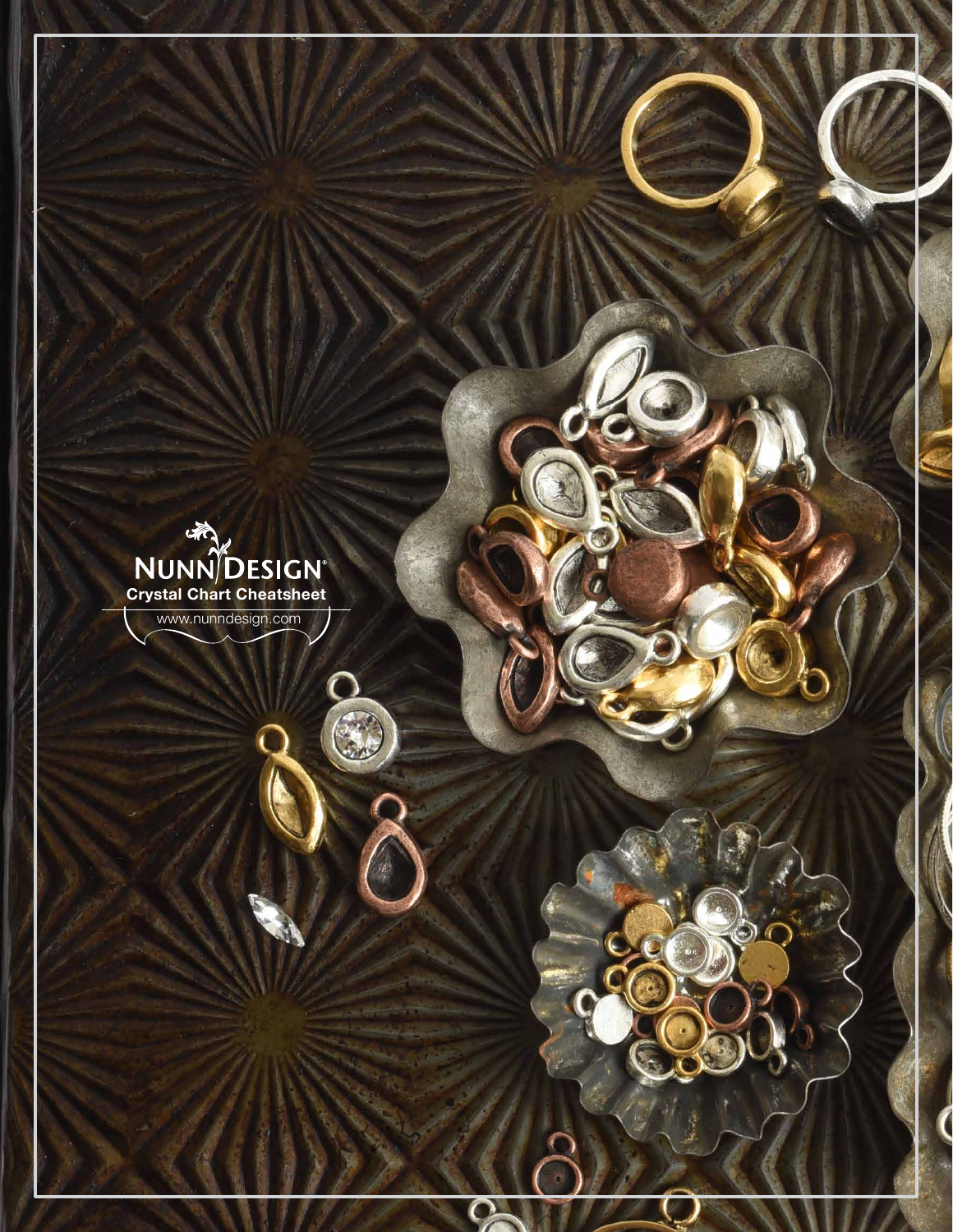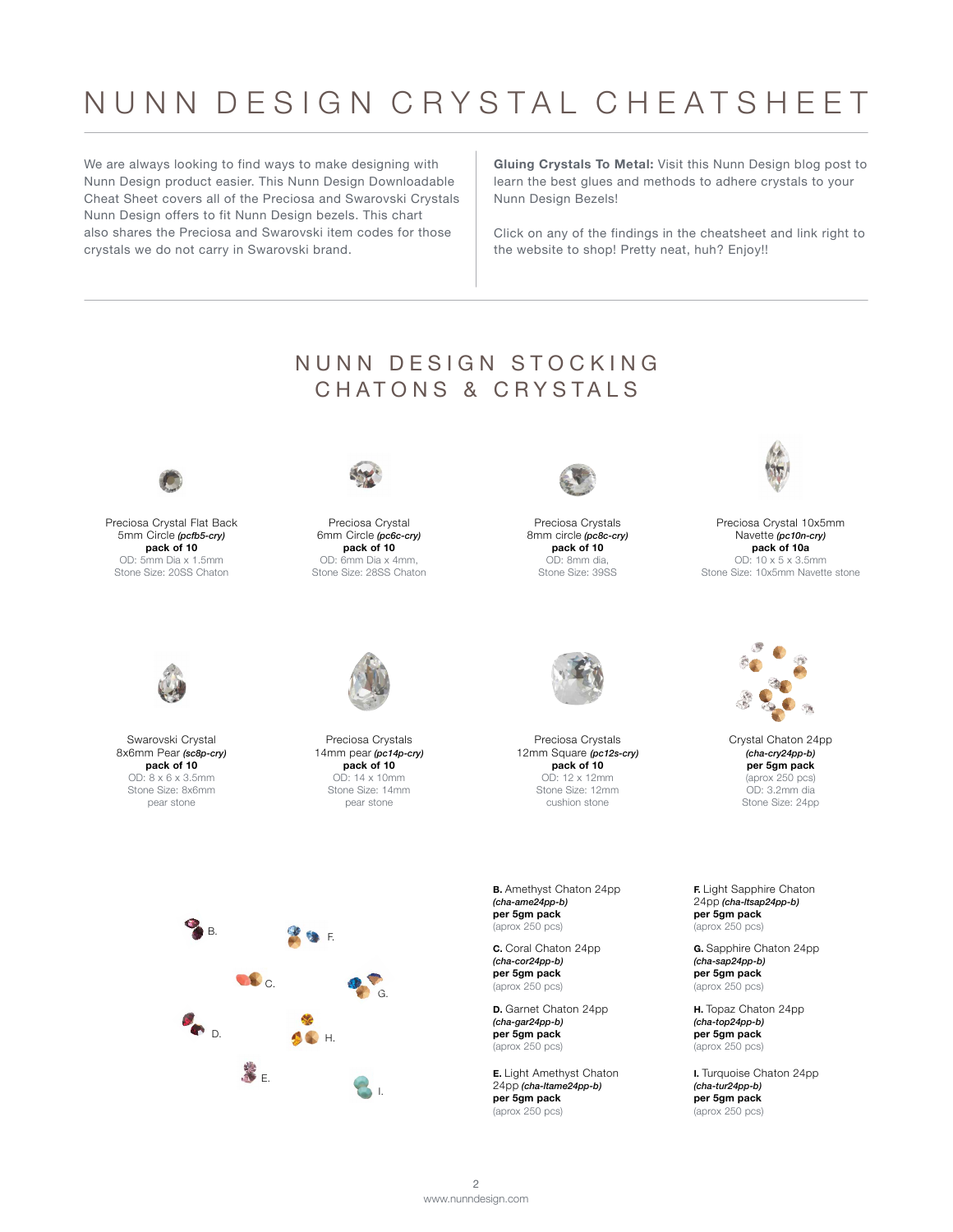## NUNN DESIGN CRYSTAL CHEATSHEET

We are always looking to find ways to make designing with Nunn Design product easier. This Nunn Design Downloadable Cheat Sheet covers all of the Preciosa and Swarovski Crystals Nunn Design offers to fit Nunn Design bezels. This chart also shares the Preciosa and Swarovski item codes for those crystals we do not carry in Swarovski brand.

**[Gluing Crystals To Metal:](https://www.nunndesign.com/gluing-crystals-metal/)** Visit this Nunn Design blog post to learn the best glues and methods to adhere crystals to your Nunn Design Bezels!

Click on any of the findings in the cheatsheet and link right to the website to shop! Pretty neat, huh? Enjoy!!

## NUNN DESIGN STOCKING CHATONS & CRYSTALS



Preciosa Crystal Flat Back 5mm Circle *(pcfb5-cry)* **pack of 10** OD: 5mm Dia x 1.5mm Stone Size: 20SS Chaton



Swarovski Crystal 8x6mm Pear *(sc8p-cry)* **pack of 10** OD: 8 x 6 x 3.5mm Stone Size: 8x6mm pear stone



Preciosa Crystal 6mm Circle *(pc6c-cry)* **pack of 10**  OD: 6mm Dia x 4mm, Stone Size: 28SS Chaton



Preciosa Crystals 14mm pear *(pc14p-cry)* **pack of 10** OD: 14 x 10mm Stone Size: 14mm pear stone



Preciosa Crystals 8mm circle *(pc8c-cry)* **pack of 10** OD: 8mm dia, Stone Size: 39SS



Preciosa Crystals 12mm Square *(pc12s-cry)* **pack of 10** OD: 12 x 12mm Stone Size: 12mm cushion stone

**B.** Amethyst Chaton 24pp *(cha-ame24pp-b)* **per 5gm pack** (aprox 250 pcs)

**C.** Coral Chaton 24pp *(cha-cor24pp-b)* **per 5gm pack** (aprox 250 pcs)

**D.** Garnet Chaton 24pp *(cha-gar24pp-b)* **per 5gm pack** (aprox 250 pcs)

**E.** Light Amethyst Chaton 24pp *(cha-ltame24pp-b)* **per 5gm pack** (aprox 250 pcs)



Preciosa Crystal 10x5mm Navette *(pc10n-cry)* **pack of 10a** OD: 10 x 5 x 3.5mm Stone Size: 10x5mm Navette stone



[Crystal Chaton 24pp](https://www.nunndesign.com/product/crystal-chaton-24pp/) *(cha-cry24pp-b)* **per 5gm pack** (aprox 250 pcs) OD: 3.2mm dia Stone Size: 24pp

**F.** Light Sapphire Chaton 24pp *(cha-ltsap24pp-b)* **per 5gm pack** (aprox 250 pcs)

**G.** Sapphire Chaton 24pp *(cha-sap24pp-b)* **per 5gm pack** (aprox 250 pcs)

**H.** Topaz Chaton 24pp *(cha-top24pp-b)* **per 5gm pack** (aprox 250 pcs)

**I.** Turquoise Chaton 24pp *(cha-tur24pp-b)* **per 5gm pack** (aprox 250 pcs)

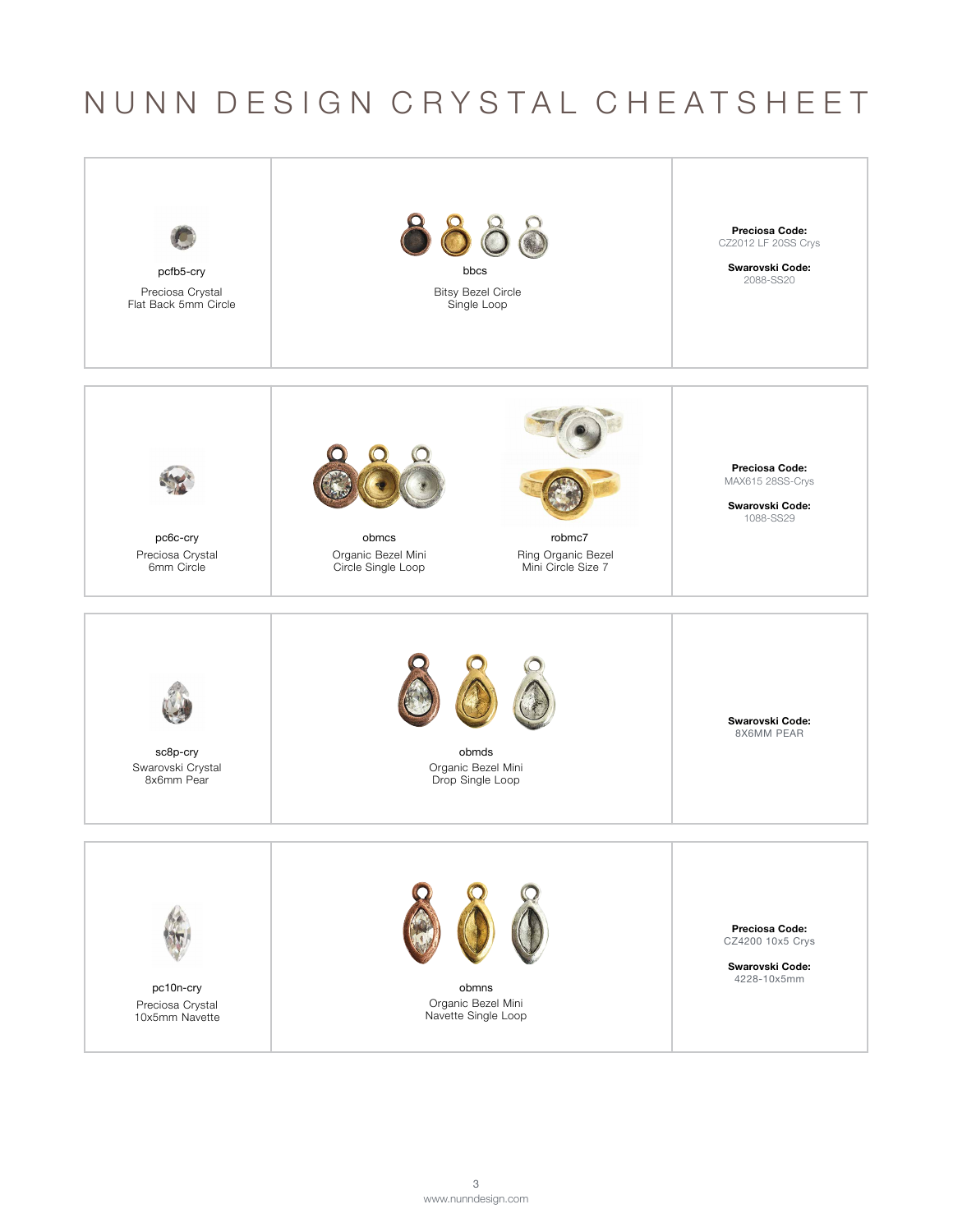## NUNN DESIGN CRYSTAL CHEATSHEET